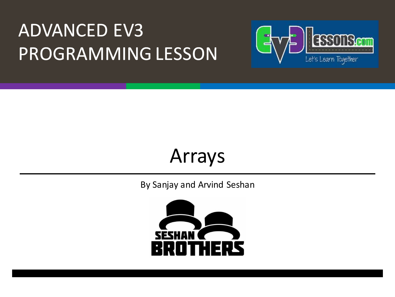#### **ADVANCED EV3** PROGRAMMING LESSON



#### Arrays

By Sanjay and Arvind Seshan

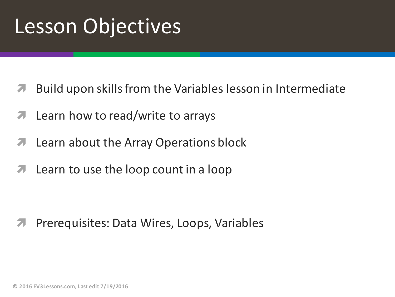#### **Lesson Objectives**

- Build upon skills from the Variables lesson in Intermediate
- Learn how to read/write to arrays 7
- Learn about the Array Operations block 7
- Learn to use the loop count in a loop 71

Prerequisites: Data Wires, Loops, Variables 71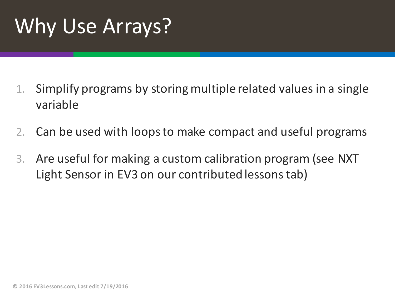# Why Use Arrays?

- 1. Simplify programs by storing multiple related values in a single variable
- 2. Can be used with loops to make compact and useful programs
- 3. Are useful for making a custom calibration program (see NXT Light Sensor in EV3 on our contributed lessons tab)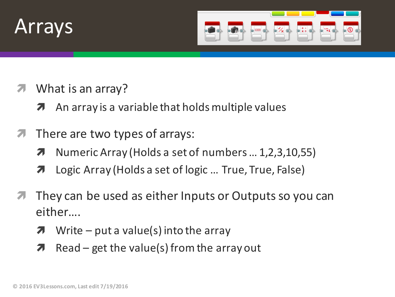#### Arrays



- What is an array?
	- An array is a variable that holds multiple values 7
- There are two types of arrays: 7
	- Numeric Array (Holds a set of numbers ... 1,2,3,10,55) 7
	- Logic Array (Holds a set of logic ... True, True, False) 7
- They can be used as either Inputs or Outputs so you can either....
	- Write  $-$  put a value(s) into the array 7
	- $Read get$  the value(s) from the array out 7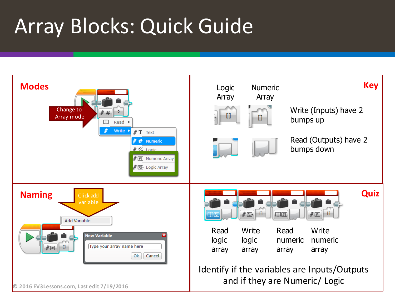## **Array Blocks: Quick Guide**

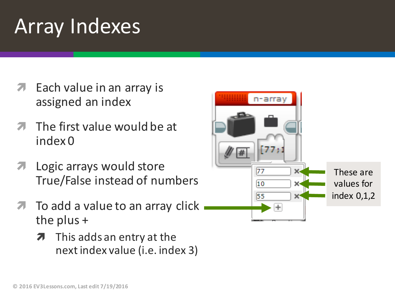#### Array Indexes

- Each value in an array is assigned an index
- The first value would be at index 0
- *A* Logic arrays would store True/False instead of numbers
- To add a value to an array click the plus  $+$ 
	- $\lambda$  This adds an entry at the next index value (i.e. index 3)

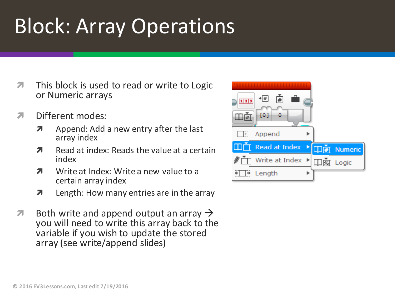#### **Block: Array Operations**

- $\overline{\phantom{a}}$ This block is used to read or write to Logic or Numeric arrays
- Different modes: 7
	- Append: Add a new entry after the last Л. array index
	- Read at index: Reads the value at a certain  $\overline{\mathbf{z}}$ index
	- Write at Index: Write a new value to a 7 certain array index
	- Length: How many entries are in the array  $\overline{\mathbf{z}}$
- Both write and append output an array  $\rightarrow$ Л. you will need to write this array back to the variable if you wish to update the stored array (see write/append slides)

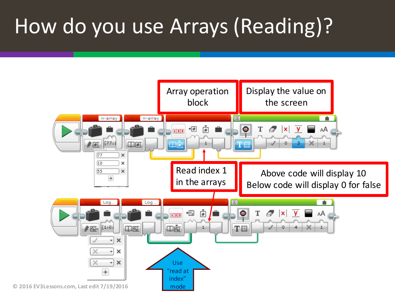# How do you use Arrays (Reading)?

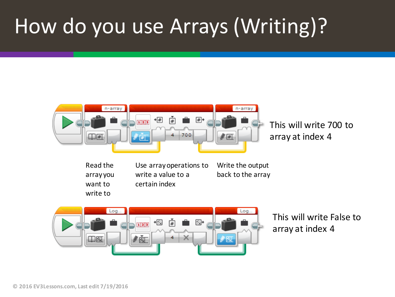## How do you use Arrays (Writing)?



- Read the array you want to write to
- Use array operations to write a value to a certain index
- Write the output back to the array



This will write False to array at index 4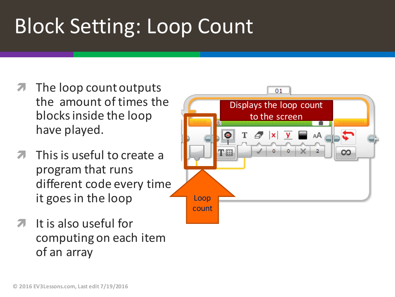# **Block Setting: Loop Count**

- The loop count outputs the amount of times the blocks inside the loop have played.
- This is useful to create a program that runs different code every time it goes in the loop
- $\overline{a}$  It is also useful for computing on each item of an array

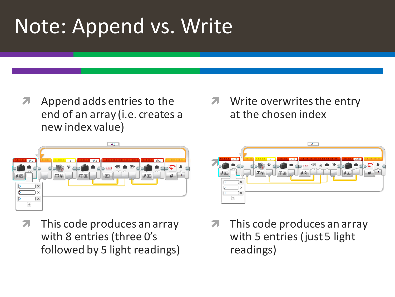## Note: Append vs. Write

Append adds entries to the 7 end of an array (i.e. creates a new index value)

#### Write overwrites the entry at the chosen index



71

This code produces an array with 8 entries (three O's followed by 5 light readings)



This code produces an array with 5 entries (just 5 light readings)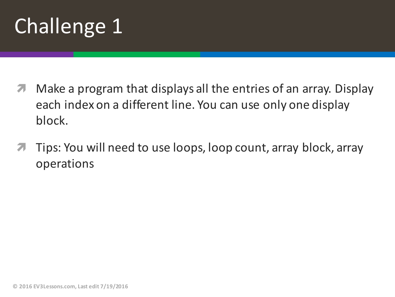# Challenge 1

- **7** Make a program that displays all the entries of an array. Display each index on a different line. You can use only one display block.
- Tips: You will need to use loops, loop count, array block, array operations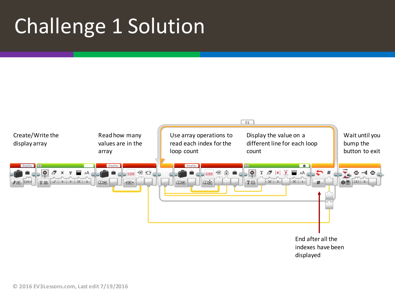# Challenge 1 Solution

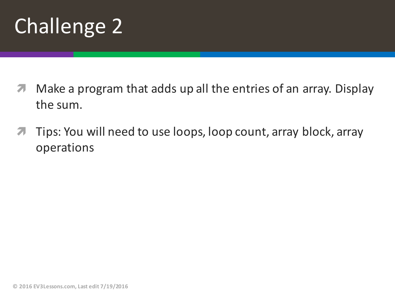

- **7** Make a program that adds up all the entries of an array. Display the sum.
- **7** Tips: You will need to use loops, loop count, array block, array operations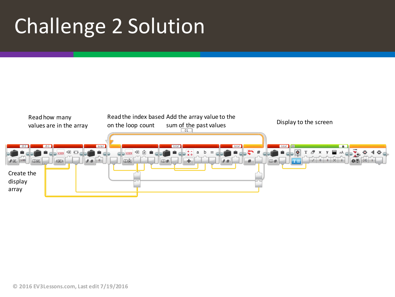# Challenge 2 Solution

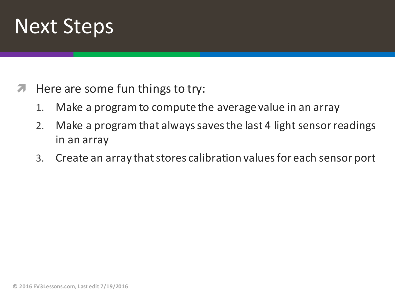

- $\blacktriangleright$  Here are some fun things to try:
	- 1. Make a program to compute the average value in an array
	- 2. Make a program that always saves the last 4 light sensor readings in an array
	- 3. Create an array that stores calibration values for each sensor port